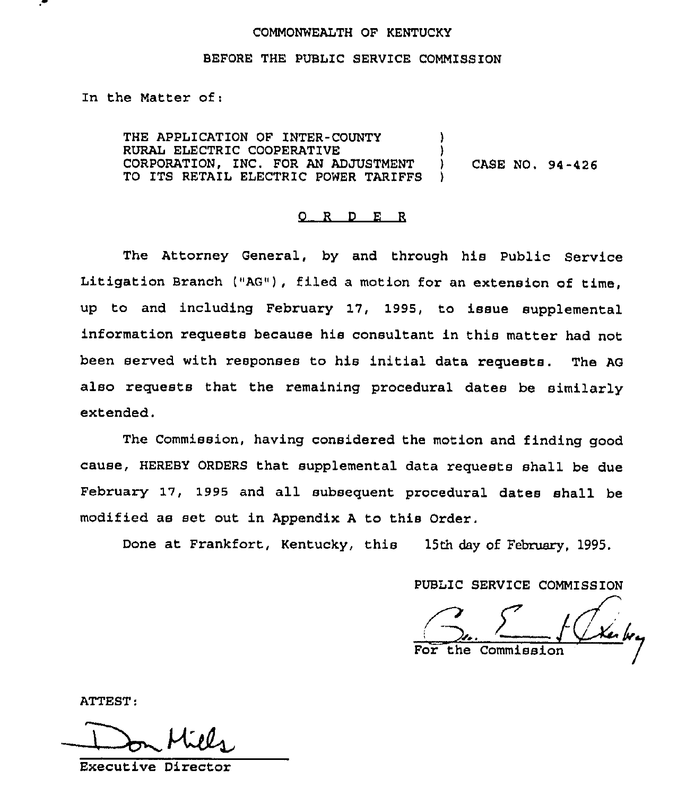## COMMONWEALTH OF KENTUCKY

## BEFORE THE PUBLIC SERVICE COMMISSION

In the Matter of:

THE APPLICATION OF INTER-COUNTY RURAL ELECTRIC COOPERATIVE CORPORATION, INC. FOR AN ADJUSTMENT ) CASE NO. 94-426 TO ITS RETAIL ELECTRIC POWER TARIFFS

## 0 <sup>R</sup> <sup>D</sup> E <sup>R</sup>

The Attorney General, by and through his Public Service Litigation Branch ("AG"), filed a motion for an extension of time, up to and including February 17, 1995, to issue supplemental information requests because his consultant in this matter had not been served with responses to his initial data requests. The AG also requests that the remaining procedural dates be similarly extended.

The Commission, having considered the motion and finding good cause, HEREBY ORDERS that supplemental data requests shall be due February 17, 1996 and all subsequent procedural dates shall be modified as set out in Appendix <sup>A</sup> to this Order.

Done at Frankfort, Kentucky, this 15th day of February, 1995.

PUBLIC SERVICE COMMISSION

the Commission

ATTEST

Executive Director